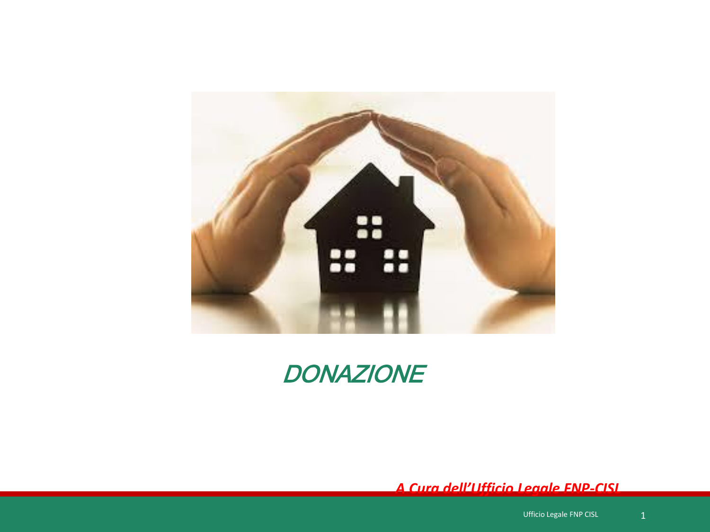



 *A Cura dell'Ufficio Legale FNP-CISL*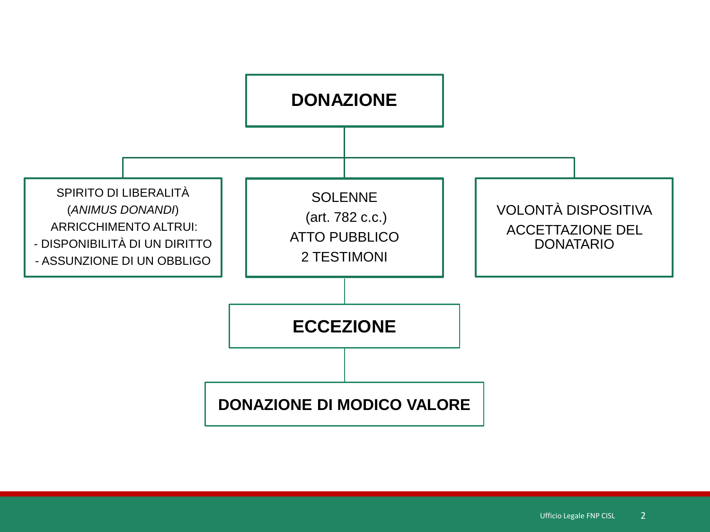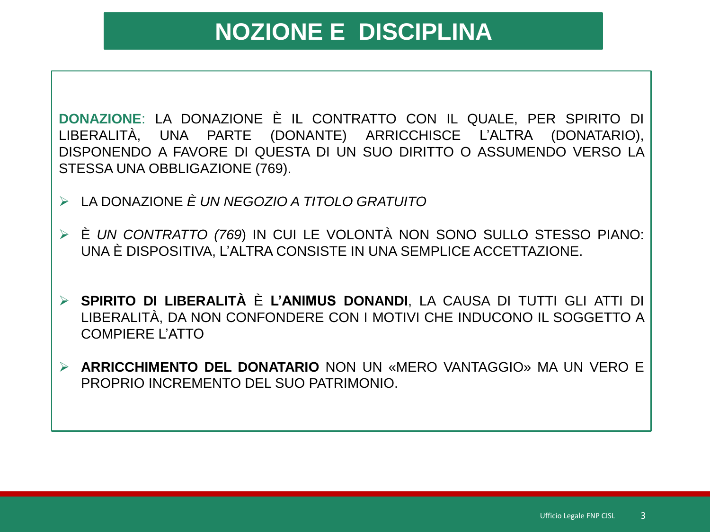# **NOZIONE E DISCIPLINA**

**DONAZIONE**: LA DONAZIONE È IL CONTRATTO CON IL QUALE, PER SPIRITO DI LIBERALITÀ, UNA PARTE (DONANTE) ARRICCHISCE L'ALTRA (DONATARIO), DISPONENDO A FAVORE DI QUESTA DI UN SUO DIRITTO O ASSUMENDO VERSO LA STESSA UNA OBBLIGAZIONE (769).

- LA DONAZIONE *È UN NEGOZIO A TITOLO GRATUITO*
- È *UN CONTRATTO (769*) IN CUI LE VOLONTÀ NON SONO SULLO STESSO PIANO: UNA È DISPOSITIVA, L'ALTRA CONSISTE IN UNA SEMPLICE ACCETTAZIONE.
- **SPIRITO DI LIBERALITÀ** È **L'ANIMUS DONANDI**, LA CAUSA DI TUTTI GLI ATTI DI LIBERALITÀ, DA NON CONFONDERE CON I MOTIVI CHE INDUCONO IL SOGGETTO A COMPIERE L'ATTO
- **ARRICCHIMENTO DEL DONATARIO** NON UN «MERO VANTAGGIO» MA UN VERO E PROPRIO INCREMENTO DEL SUO PATRIMONIO.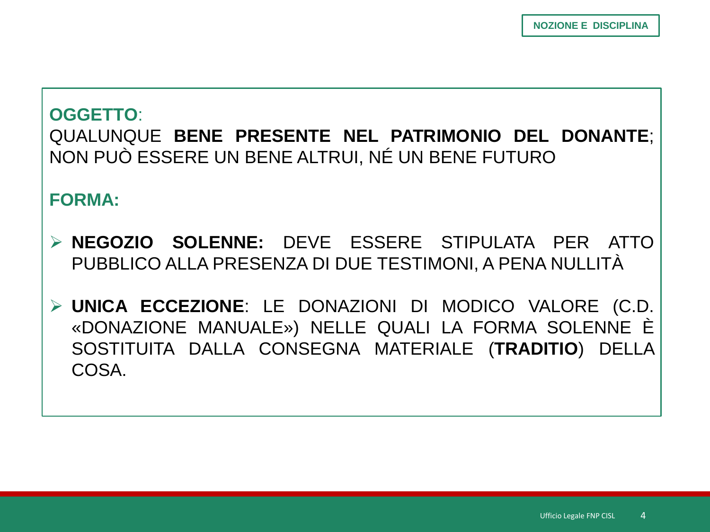### **OGGETTO:** QUALUNQUE BENE PRESENTE NEL PATRIMONIO DEL DONANTE; NON PUÒ ESSERE UN BENE ALTRUI, NÉ UN BENE FUTURO

**FORMA:** 

- > NEGOZIO SOLENNE: DEVE ESSERE STIPULATA PER ATTO PUBBLICO ALLA PRESENZA DI DUE TESTIMONI, A PENA NULLITÀ
- > UNICA ECCEZIONE: LE DONAZIONI DI MODICO VALORE (C.D. «DONAZIONE MANUALE») NELLE QUALI LA FORMA SOLENNE È SOSTITUITA DALLA CONSEGNA MATERIALE (TRADITIO) DELLA COSA.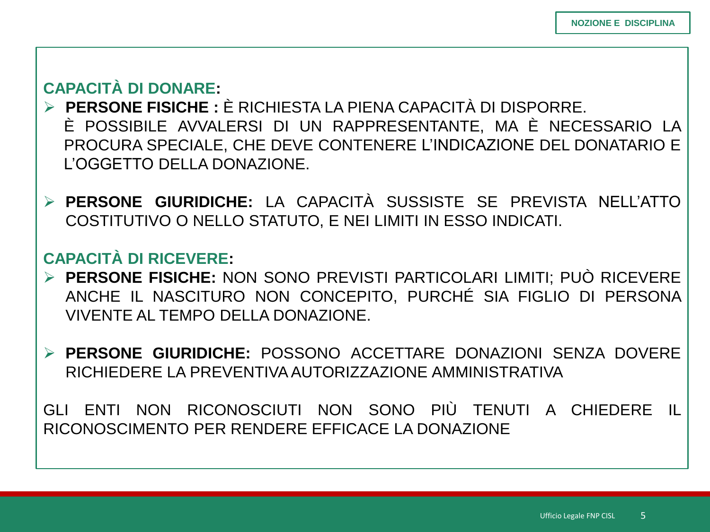### **CAPACITÀ DI DONARE:**

- **PERSONE FISICHE :** È RICHIESTA LA PIENA CAPACITÀ DI DISPORRE. È POSSIBILE AVVALERSI DI UN RAPPRESENTANTE, MA È NECESSARIO LA PROCURA SPECIALE, CHE DEVE CONTENERE L'INDICAZIONE DEL DONATARIO E L'OGGETTO DELLA DONAZIONE.
- **PERSONE GIURIDICHE:** LA CAPACITÀ SUSSISTE SE PREVISTA NELL'ATTO COSTITUTIVO O NELLO STATUTO, E NEI LIMITI IN ESSO INDICATI.

### **CAPACITÀ DI RICEVERE:**

- **PERSONE FISICHE:** NON SONO PREVISTI PARTICOLARI LIMITI; PUÒ RICEVERE ANCHE IL NASCITURO NON CONCEPITO, PURCHÉ SIA FIGLIO DI PERSONA VIVENTE AL TEMPO DELLA DONAZIONE.
- **PERSONE GIURIDICHE:** POSSONO ACCETTARE DONAZIONI SENZA DOVERE RICHIEDERE LA PREVENTIVAAUTORIZZAZIONE AMMINISTRATIVA

GLI ENTI NON RICONOSCIUTI NON SONO PIÙ TENUTI A CHIEDERE IL RICONOSCIMENTO PER RENDERE EFFICACE LA DONAZIONE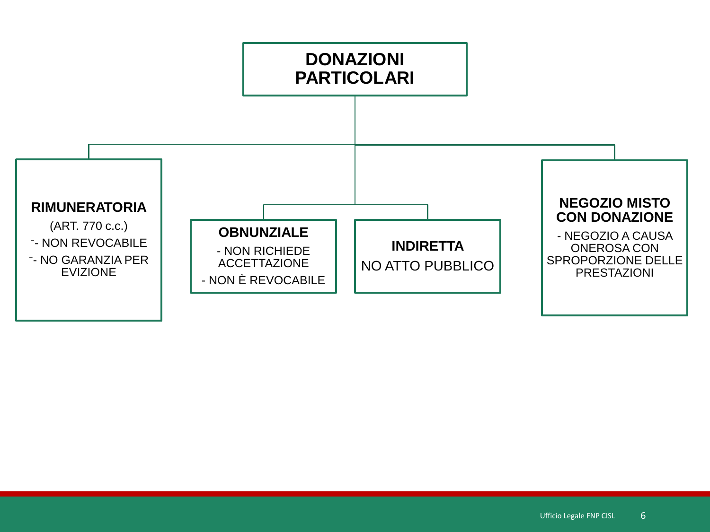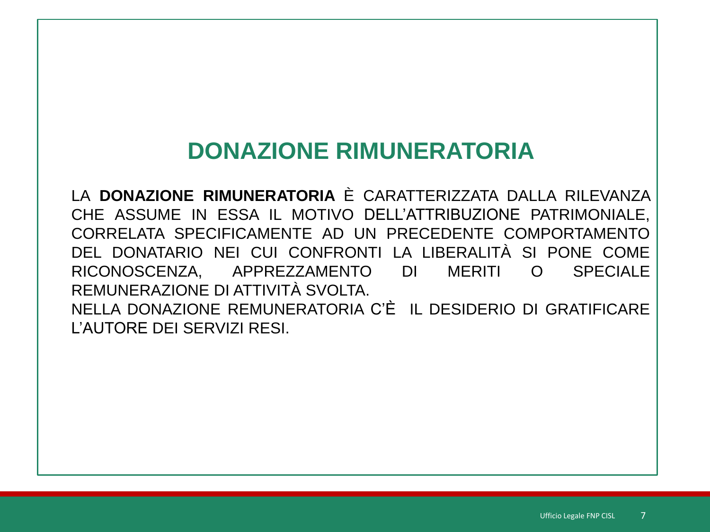# **DONAZIONE RIMUNERATORIA**

LA DONAZIONE RIMUNERATORIA È CARATTERIZZATA DALLA RILEVANZA CHE ASSUME IN ESSA IL MOTIVO DELL'ATTRIBUZIONE PATRIMONIALE. CORRELATA SPECIFICAMENTE AD UN PRECEDENTE COMPORTAMENTO DEL DONATARIO NEI CUI CONFRONTI LA LIBERALITÀ SI PONE COME RICONOSCENZA, APPREZZAMENTO  $DI$ **MERITI SPECIALE**  $\Omega$ REMUNERAZIONE DI ATTIVITÀ SVOI TA NELLA DONAZIONE REMUNERATORIA C'È IL DESIDERIO DI GRATIFICARE L'AUTORE DEI SERVIZI RESI.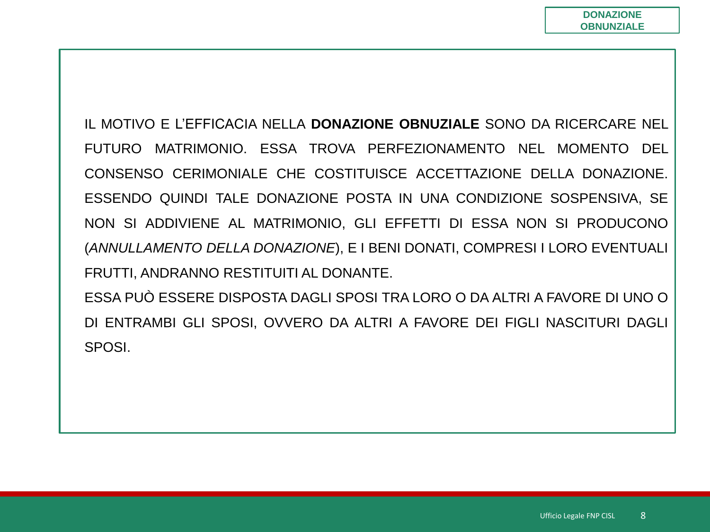IL MOTIVO E L'EFFICACIA NELLA DONAZIONE OBNUZIALE SONO DA RICERCARE NEL FUTURO MATRIMONIO. ESSA TROVA PERFEZIONAMENTO NEL MOMENTO DEL CONSENSO CERIMONIALE CHE COSTITUISCE ACCETTAZIONE DELLA DONAZIONE. ESSENDO QUINDI TALE DONAZIONE POSTA IN UNA CONDIZIONE SOSPENSIVA, SE NON SI ADDIVIENE AL MATRIMONIO, GLI EFFETTI DI ESSA NON SI PRODUCONO (ANNULLAMENTO DELLA DONAZIONE), E I BENI DONATI, COMPRESI I LORO EVENTUALI FRUTTI, ANDRANNO RESTITUITI AL DONANTE. ESSA PUÒ ESSERE DISPOSTA DAGLI SPOSI TRA LORO O DA ALTRI A FAVORE DI UNO O

DI ENTRAMBI GLI SPOSI, OVVERO DA ALTRI A FAVORE DEI FIGLI NASCITURI DAGLI SPOSI.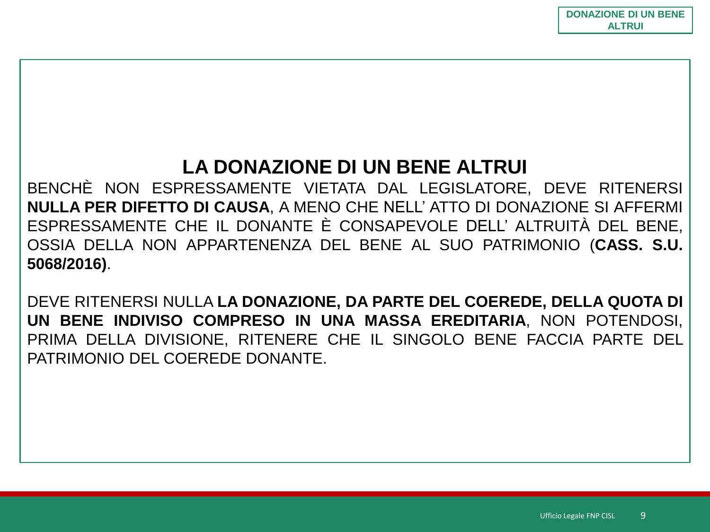# **LA DONAZIONE DI UN BENE ALTRUI**

BENCHÈ NON ESPRESSAMENTE VIETATA DAL LEGISLATORE, DEVE RITENERSI **NULLA PER DIFETTO DI CAUSA**, A MENO CHE NELL' ATTO DI DONAZIONE SI AFFERMI ESPRESSAMENTE CHE IL DONANTE È CONSAPEVOLE DELL' ALTRUITÀ DEL BENE, OSSIA DELLA NON APPARTENENZA DEL BENE AL SUO PATRIMONIO (**CASS. S.U. 5068/2016)**.

DEVE RITENERSI NULLA **LA DONAZIONE, DA PARTE DEL COEREDE, DELLA QUOTA DI UN BENE INDIVISO COMPRESO IN UNA MASSA EREDITARIA**, NON POTENDOSI, PRIMA DELLA DIVISIONE, RITENERE CHE IL SINGOLO BENE FACCIA PARTE DEL PATRIMONIO DEL COEREDE DONANTE.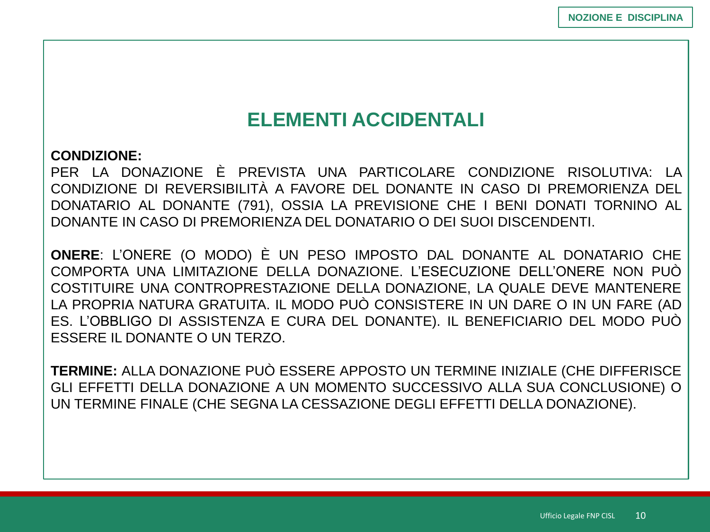# **ELEMENTI ACCIDENTALI**

#### **CONDIZIONE:**

PER LA DONAZIONE È PREVISTA UNA PARTICOLARE CONDIZIONE RISOLUTIVA: LA CONDIZIONE DI REVERSIBILITÀ A FAVORE DEL DONANTE IN CASO DI PREMORIENZA DEL DONATARIO AL DONANTE (791), OSSIA LA PREVISIONE CHE I BENI DONATI TORNINO AL DONANTE IN CASO DI PREMORIENZA DEL DONATARIO O DEI SUOI DISCENDENTI.

**ONERE**: L'ONERE (O MODO) È UN PESO IMPOSTO DAL DONANTE AL DONATARIO CHE COMPORTA UNA LIMITAZIONE DELLA DONAZIONE. L'ESECUZIONE DELL'ONERE NON PUÒ COSTITUIRE UNA CONTROPRESTAZIONE DELLA DONAZIONE, LA QUALE DEVE MANTENERE LA PROPRIA NATURA GRATUITA. IL MODO PUÒ CONSISTERE IN UN DARE O IN UN FARE (AD ES. L'OBBLIGO DI ASSISTENZA E CURA DEL DONANTE). IL BENEFICIARIO DEL MODO PUÒ ESSERE IL DONANTE O UN TERZO.

**TERMINE:** ALLA DONAZIONE PUÒ ESSERE APPOSTO UN TERMINE INIZIALE (CHE DIFFERISCE GLI EFFETTI DELLA DONAZIONE A UN MOMENTO SUCCESSIVO ALLA SUA CONCLUSIONE) O UN TERMINE FINALE (CHE SEGNA LA CESSAZIONE DEGLI EFFETTI DELLA DONAZIONE).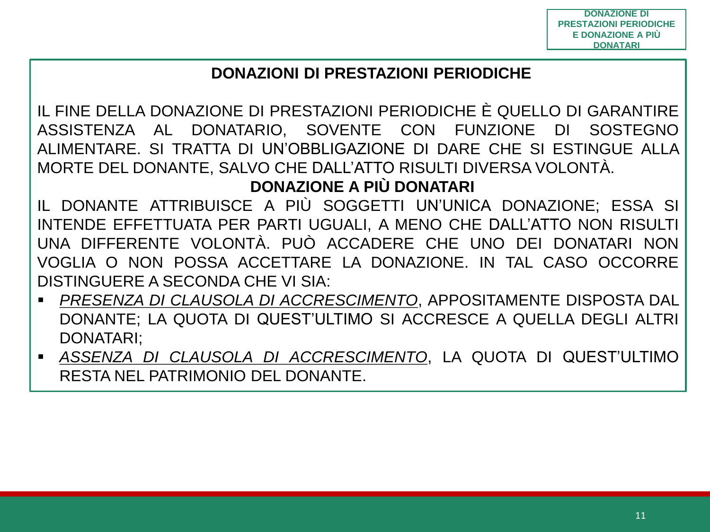### **DONAZIONI DI PRESTAZIONI PERIODICHE**

IL FINE DELLA DONAZIONE DI PRESTAZIONI PERIODICHE È QUELLO DI GARANTIRE DONATARIO, SOVENTE CON FUNZIONE ASSISTENZA AL DI SOSTEGNO ALIMENTARE. SI TRATTA DI UN'OBBLIGAZIONE DI DARE CHE SI ESTINGUE ALLA MORTE DEL DONANTE, SALVO CHE DALL'ATTO RISULTI DIVERSA VOLONTÀ.

### **DONAZIONE A PIÙ DONATARI**

IL DONANTE ATTRIBUISCE A PIÙ SOGGETTI UN'UNICA DONAZIONE: ESSA SI INTENDE EFFETTUATA PER PARTI UGUALI, A MENO CHE DALL'ATTO NON RISULTI UNA DIFFERENTE VOLONTÀ. PUÒ ACCADERE CHE UNO DEI DONATARI NON VOGLIA O NON POSSA ACCETTARE LA DONAZIONE. IN TAL CASO OCCORRE DISTINGUERE A SECONDA CHE VI SIA:

- *PRESENZA DI CLAUSOLA DI ACCRESCIMENTO*, APPOSITAMENTE DISPOSTA DAL DONANTE; LA QUOTA DI QUEST'ULTIMO SI ACCRESCE A QUELLA DEGLI ALTRI **DONATARI:**
- ASSENZA DI CLAUSOLA DI ACCRESCIMENTO, LA QUOTA DI QUEST'ULTIMO RESTA NEL PATRIMONIO DEL DONANTE.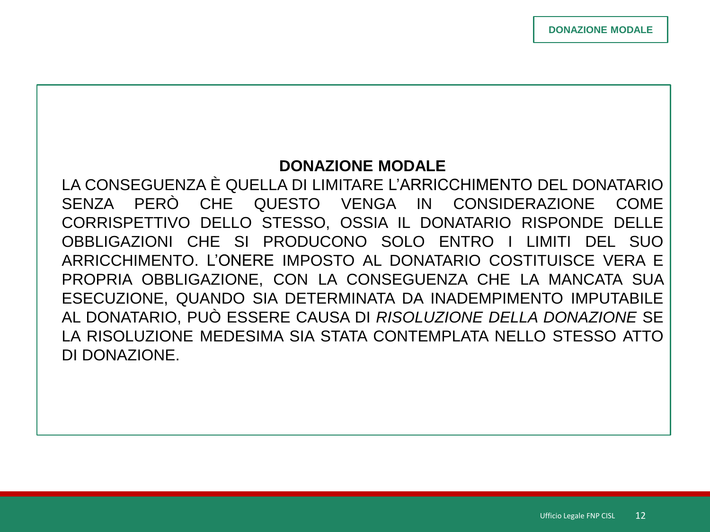#### **DONAZIONE MODALE**

LA CONSEGUENZA È QUELLA DI LIMITARE L'ARRICCHIMENTO DEL DONATARIO SENZA PERÒ CHE QUESTO VENGA IN CONSIDERAZIONE **COME** CORRISPETTIVO DELLO STESSO, OSSIA IL DONATARIO RISPONDE DELLE OBBLIGAZIONI CHE SI PRODUCONO SOLO ENTRO I LIMITI DFI SUO ARRICCHIMENTO. L'ONERE IMPOSTO AL DONATARIO COSTITUISCE VERA E PROPRIA OBBLIGAZIONE, CON LA CONSEGUENZA CHE LA MANCATA SUA ESECUZIONE, QUANDO SIA DETERMINATA DA INADEMPIMENTO IMPUTABILE AL DONATARIO, PUÒ ESSERE CAUSA DI RISOLUZIONE DELLA DONAZIONE SE LA RISOLUZIONE MEDESIMA SIA STATA CONTEMPLATA NELLO STESSO ATTO DI DONAZIONE.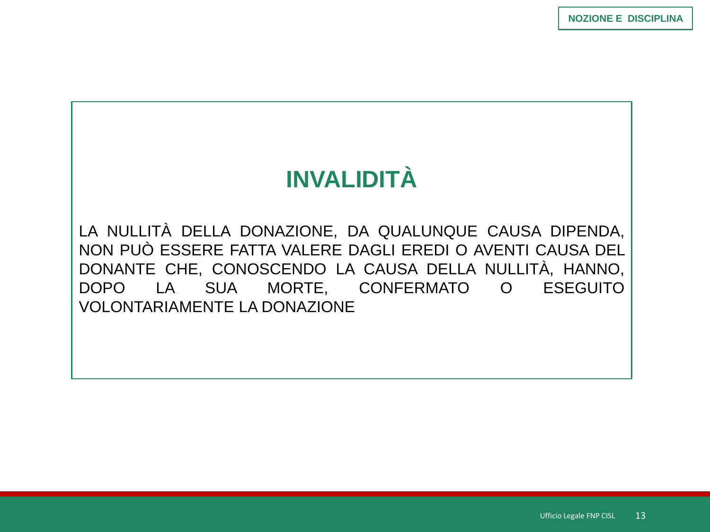# **INVALIDITÀ**

LA NULLITÀ DELLA DONAZIONE, DA QUALUNQUE CAUSA DIPENDA, NON PUÒ ESSERE FATTA VALERE DAGLI EREDI O AVENTI CAUSA DEL DONANTE CHE, CONOSCENDO LA CAUSA DELLA NULLITÀ, HANNO, DOPO LA SUA MORTE, CONFERMATO O ESEGUITO **VOLONTARIAMENTE LA DONAZIONE**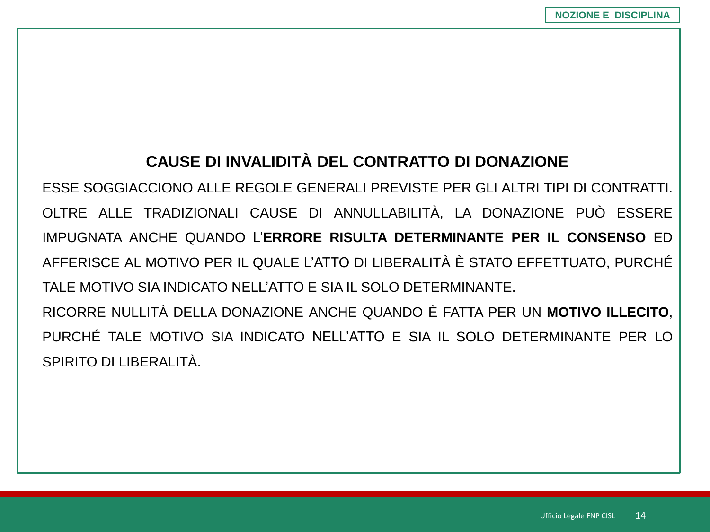### **CAUSE DI INVALIDITÀ DEL CONTRATTO DI DONAZIONE**

ESSE SOGGIACCIONO ALLE REGOLE GENERALI PREVISTE PER GLI ALTRI TIPI DI CONTRATTI. OLTRE ALLE TRADIZIONALI CAUSE DI ANNULLABILITÀ, LA DONAZIONE PUÒ ESSERE IMPUGNATA ANCHE QUANDO L'**ERRORE RISULTA DETERMINANTE PER IL CONSENSO** ED AFFERISCE AL MOTIVO PER IL QUALE L'ATTO DI LIBERALITÀ È STATO EFFETTUATO, PURCHÉ TALE MOTIVO SIA INDICATO NELL'ATTO E SIA IL SOLO DETERMINANTE. RICORRE NULLITÀ DELLA DONAZIONE ANCHE QUANDO È FATTA PER UN **MOTIVO ILLECITO**, PURCHÉ TALE MOTIVO SIA INDICATO NELL'ATTO E SIA IL SOLO DETERMINANTE PER LO

SPIRITO DI LIBERALITÀ.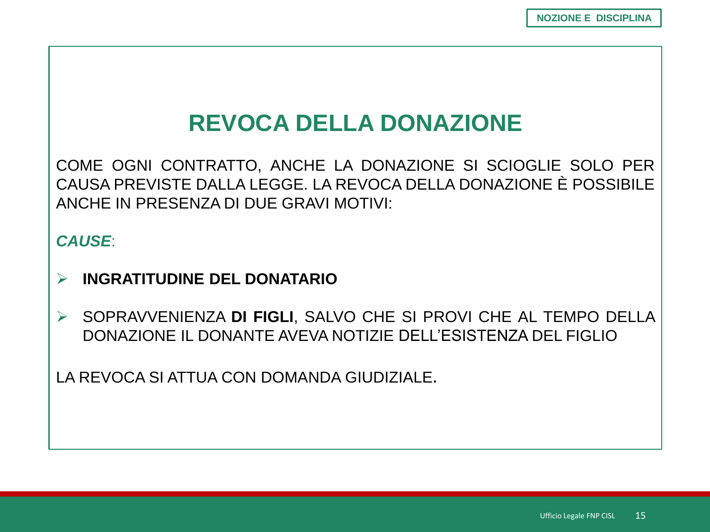# **REVOCA DELLA DONAZIONE**

COME OGNI CONTRATTO, ANCHE LA DONAZIONE SI SCIOGLIE SOLO PER CAUSA PREVISTE DALLA LEGGE. LA REVOCA DELLA DONAZIONE È POSSIBILE ANCHE IN PRESENZA DI DUE GRAVI MOTIVI:

#### **CAUSE**

- **INGRATITUDINE DEL DONATARIO**  $\blacktriangleright$
- SOPRAVVENIENZA DI FIGLI, SALVO CHE SI PROVI CHE AL TEMPO DELLA  $\blacktriangleright$ DONAZIONE IL DONANTE AVEVA NOTIZIE DELL'ESISTENZA DEL FIGLIO

LA REVOCA SI ATTUA CON DOMANDA GIUDIZIALE.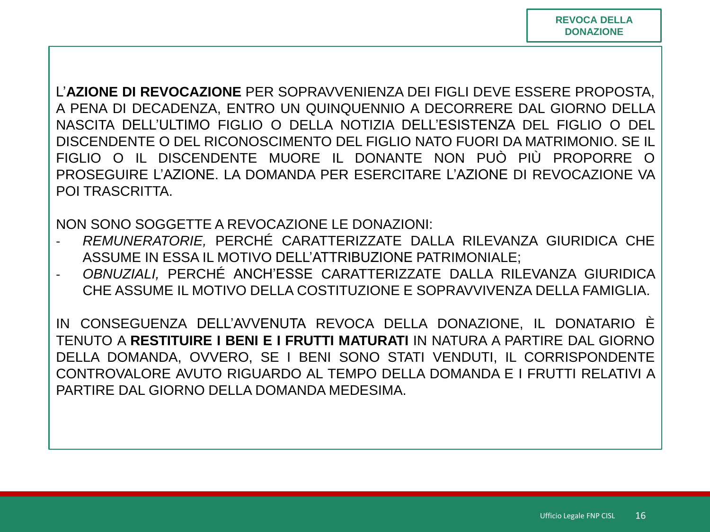L'AZIONE DI REVOCAZIONE PER SOPRAVVENIENZA DEI FIGLI DEVE ESSERE PROPOSTA. A PENA DI DECADENZA, ENTRO UN QUINQUENNIO A DECORRERE DAL GIORNO DELLA NASCITA DELL'ULTIMO FIGLIO O DELLA NOTIZIA DELL'ESISTENZA DEL FIGLIO O DEL DISCENDENTE O DEL RICONOSCIMENTO DEL FIGLIO NATO FUORI DA MATRIMONIO. SE IL FIGLIO O IL DISCENDENTE MUORE IL DONANTE NON PUÒ PIÙ PROPORRE O PROSEGUIRE L'AZIONE. LA DOMANDA PER ESERCITARE L'AZIONE DI REVOCAZIONE VA POI TRASCRITTA.

NON SONO SOGGETTE A REVOCAZIONE LE DONAZIONI:

- REMUNERATORIE, PERCHÉ CARATTERIZZATE DALLA RILEVANZA GIURIDICA CHE ASSUME IN ESSA IL MOTIVO DELL'ATTRIBUZIONE PATRIMONIALE:
- OBNUZIALI, PERCHÉ ANCH'ESSE CARATTERIZZATE DALLA RILEVANZA GIURIDICA  $\blacksquare$ CHE ASSUME IL MOTIVO DELLA COSTITUZIONE E SOPRAVVIVENZA DELLA FAMIGLIA.

IN CONSEGUENZA DELL'AVVENUTA REVOCA DELLA DONAZIONE. IL DONATARIO È TENUTO A RESTITUIRE I BENI E I FRUTTI MATURATI IN NATURA A PARTIRE DAL GIORNO DELLA DOMANDA, OVVERO, SE I BENI SONO STATI VENDUTI, IL CORRISPONDENTE CONTROVALORE AVUTO RIGUARDO AL TEMPO DELLA DOMANDA E I FRUTTI RELATIVI A PARTIRE DAL GIORNO DELLA DOMANDA MEDESIMA.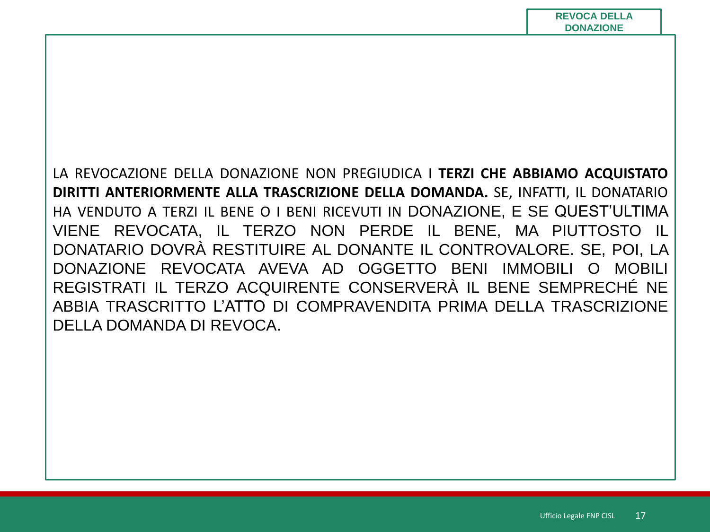LA REVOCAZIONE DELLA DONAZIONE NON PREGIUDICA I **TERZI CHE ABBIAMO ACQUISTATO DIRITTI ANTERIORMENTE ALLA TRASCRIZIONE DELLA DOMANDA.** SE, INFATTI, IL DONATARIO HA VENDUTO A TERZI IL BENE O I BENI RICEVUTI IN DONAZIONE, E SE QUEST'ULTIMA VIENE REVOCATA, IL TERZO NON PERDE IL BENE, MA PIUTTOSTO IL DONATARIO DOVRÀ RESTITUIRE AL DONANTE IL CONTROVALORE. SE, POI, LA DONAZIONE REVOCATA AVEVA AD OGGETTO BENI IMMOBILI O MOBILI REGISTRATI IL TERZO ACQUIRENTE CONSERVERÀ IL BENE SEMPRECHÉ NE ABBIA TRASCRITTO L'ATTO DI COMPRAVENDITA PRIMA DELLA TRASCRIZIONE DELLA DOMANDA DI REVOCA.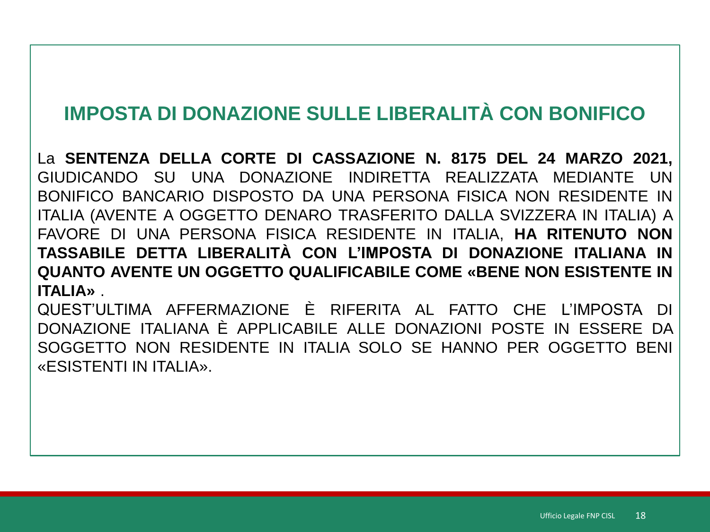# IMPOSTA DI DONAZIONE SULLE LIBERALITÀ CON BONIFICO

La SENTENZA DELLA CORTE DI CASSAZIONE N. 8175 DEL 24 MARZO 2021, GIUDICANDO SU UNA DONAZIONE INDIRETTA REALIZZATA MEDIANTE UN BONIFICO BANCARIO DISPOSTO DA UNA PERSONA FISICA NON RESIDENTE IN ITALIA (AVENTE A OGGETTO DENARO TRASFERITO DALLA SVIZZERA IN ITALIA) A FAVORE DI UNA PERSONA FISICA RESIDENTE IN ITALIA, HA RITENUTO NON TASSABILE DETTA LIBERALITÀ CON L'IMPOSTA DI DONAZIONE ITALIANA IN **QUANTO AVENTE UN OGGETTO QUALIFICABILE COME «BENE NON ESISTENTE IN ITALIA»** 

QUEST'ULTIMA AFFERMAZIONE È RIFERITA AL FATTO CHE L'IMPOSTA DI DONAZIONE ITALIANA È APPLICABILE ALLE DONAZIONI POSTE IN ESSERE DA SOGGETTO NON RESIDENTE IN ITALIA SOLO SE HANNO PER OGGETTO BENI «ESISTENTI IN ITALIA».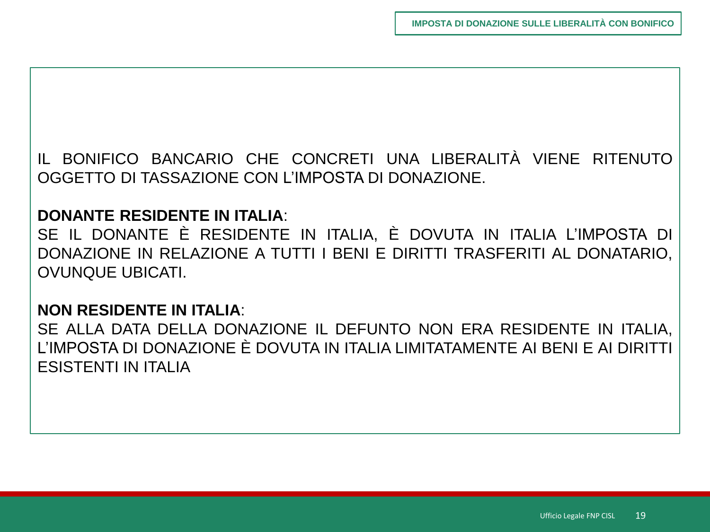IL BONIFICO BANCARIO CHE CONCRETI UNA LIBERALITÀ VIENE RITENUTO OGGETTO DI TASSAZIONE CON L'IMPOSTA DI DONAZIONE.

#### **DONANTE RESIDENTE IN ITALIA**:

SE IL DONANTE È RESIDENTE IN ITALIA, È DOVUTA IN ITALIA L'IMPOSTA DI DONAZIONE IN RELAZIONE A TUTTI I BENI E DIRITTI TRASFERITI AL DONATARIO, OVUNQUE UBICATI.

#### **NON RESIDENTE IN ITALIA**:

SE ALLA DATA DELLA DONAZIONE IL DEFUNTO NON ERA RESIDENTE IN ITALIA, L'IMPOSTA DI DONAZIONE È DOVUTA IN ITALIA LIMITATAMENTE AI BENI E AI DIRITTI ESISTENTI IN ITALIA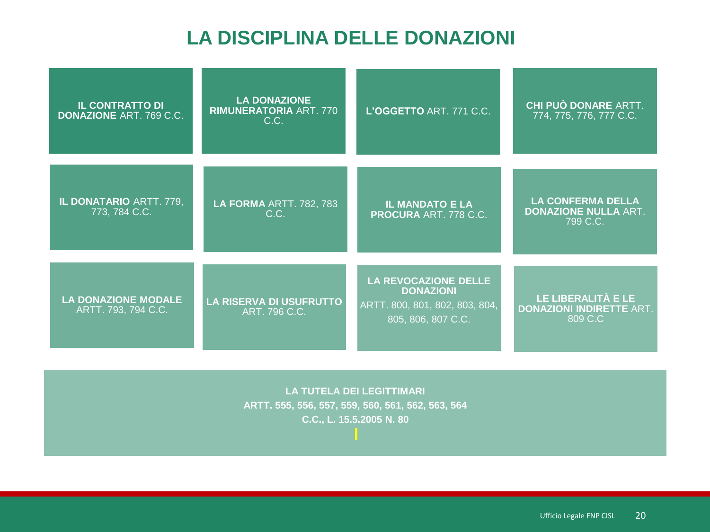# **LA DISCIPLINA DELLE DONAZIONI**

| <b>IL CONTRATTO DI</b><br><b>DONAZIONE ART. 769 C.C.</b> | <b>LA DONAZIONE</b><br><b>RIMUNERATORIA ART. 770</b><br>C.C. | L'OGGETTO ART. 771 C.C.                                                                                 | CHI PUÒ DONARE ARTT.<br>774, 775, 776, 777 C.C.                     |
|----------------------------------------------------------|--------------------------------------------------------------|---------------------------------------------------------------------------------------------------------|---------------------------------------------------------------------|
| IL DONATARIO ARTT. 779,<br>773, 784 C.C.                 | <b>LA FORMA ARTT. 782, 783</b><br>C.C.                       | <b>IL MANDATO E LA</b><br><b>PROCURA ART. 778 C.C.</b>                                                  | <b>LA CONFERMA DELLA</b><br><b>DONAZIONE NULLA ART.</b><br>799 C.C. |
| <b>LA DONAZIONE MODALE</b><br>ARTT. 793, 794 C.C.        | <b>LA RISERVA DI USUFRUTTO</b><br>ART. 796 C.C.              | <b>LA REVOCAZIONE DELLE</b><br><b>DONAZIONI</b><br>ARTT. 800, 801, 802, 803, 804,<br>805, 806, 807 C.C. | LE LIBERALITÀ E LE<br><b>DONAZIONI INDIRETTE ART.</b><br>809 C.C    |

**LA TUTELA DEI LEGITTIMARI ARTT. 555, 556, 557, 559, 560, 561, 562, 563, 564 C.C., L. 15.5.2005 N. 80**